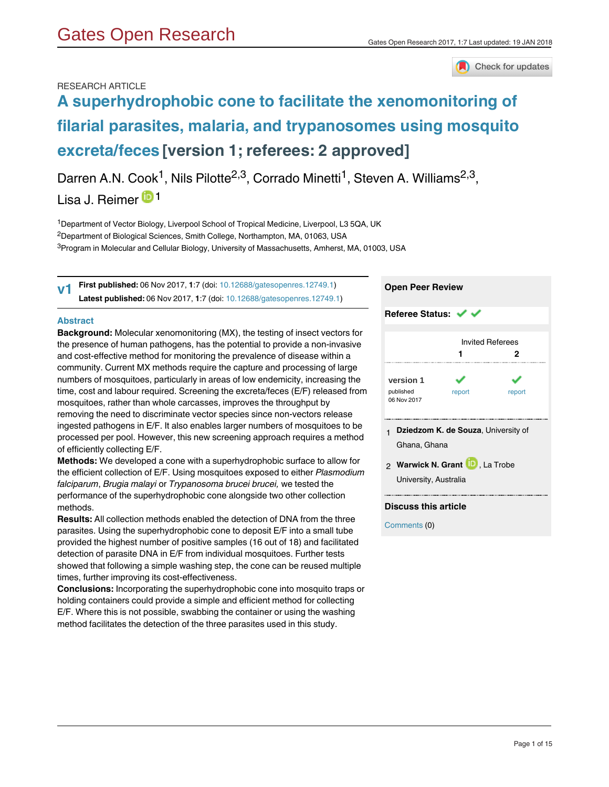

## RESEARCH ARTICLE

# **[A superhydrophobic cone to facilitate the xenomonitoring of](https://gatesopenresearch.org/articles/1-7/v1) [filarial parasites, malaria, and trypanosomes using mosquito](https://gatesopenresearch.org/articles/1-7/v1) [excreta/feces](https://gatesopenresearch.org/articles/1-7/v1) [version 1; referees: 2 approved]**

Darren A.N. Cook<sup>1</sup>, Nils Pilotte<sup>2,3</sup>, Corrado Minetti<sup>1</sup>, Steven A. Williams<sup>2,3</sup>, Lisa J. Reimer<sup>1</sup>

<sup>1</sup>Department of Vector Biology, Liverpool School of Tropical Medicine, Liverpool, L3 5QA, UK <sup>2</sup>Department of Biological Sciences, Smith College, Northampton, MA, 01063, USA  $^3$ Program in Molecular and Cellular Biology, University of Massachusetts, Amherst, MA, 01003, USA

**First published:** 06 Nov 2017, **1**:7 (doi: [10.12688/gatesopenres.12749.1\)](http://dx.doi.org/10.12688/gatesopenres.12749.1) **Latest published:** 06 Nov 2017, **1**:7 (doi: [10.12688/gatesopenres.12749.1](http://dx.doi.org/10.12688/gatesopenres.12749.1)) **v1**

### **Abstract**

**Background:** Molecular xenomonitoring (MX), the testing of insect vectors for the presence of human pathogens, has the potential to provide a non-invasive and cost-effective method for monitoring the prevalence of disease within a community. Current MX methods require the capture and processing of large numbers of mosquitoes, particularly in areas of low endemicity, increasing the time, cost and labour required. Screening the excreta/feces (E/F) released from mosquitoes, rather than whole carcasses, improves the throughput by removing the need to discriminate vector species since non-vectors release ingested pathogens in E/F. It also enables larger numbers of mosquitoes to be processed per pool. However, this new screening approach requires a method of efficiently collecting E/F.

**Methods:** We developed a cone with a superhydrophobic surface to allow for the efficient collection of E/F. Using mosquitoes exposed to either *Plasmodium falciparum*, *Brugia malayi* or *Trypanosoma brucei brucei,* we tested the performance of the superhydrophobic cone alongside two other collection methods.

**Results:** All collection methods enabled the detection of DNA from the three parasites. Using the superhydrophobic cone to deposit E/F into a small tube provided the highest number of positive samples (16 out of 18) and facilitated detection of parasite DNA in E/F from individual mosquitoes. Further tests showed that following a simple washing step, the cone can be reused multiple times, further improving its cost-effectiveness.

**Conclusions:** Incorporating the superhydrophobic cone into mosquito traps or holding containers could provide a simple and efficient method for collecting E/F. Where this is not possible, swabbing the container or using the washing method facilitates the detection of the three parasites used in this study.

| <b>Open Peer Review</b>                                                                                          |    |                              |  |  |  |
|------------------------------------------------------------------------------------------------------------------|----|------------------------------|--|--|--|
| Referee Status: ↓ ↓                                                                                              |    |                              |  |  |  |
|                                                                                                                  | 1. | <b>Invited Referees</b><br>2 |  |  |  |
| version 1<br>published<br>report<br>report<br>06 Nov 2017                                                        |    |                              |  |  |  |
| 1 Dziedzom K. de Souza, University of<br>Ghana, Ghana<br>2 Warwick N. Grant D, La Trobe<br>University, Australia |    |                              |  |  |  |

## **Discuss this article**

Comments (0)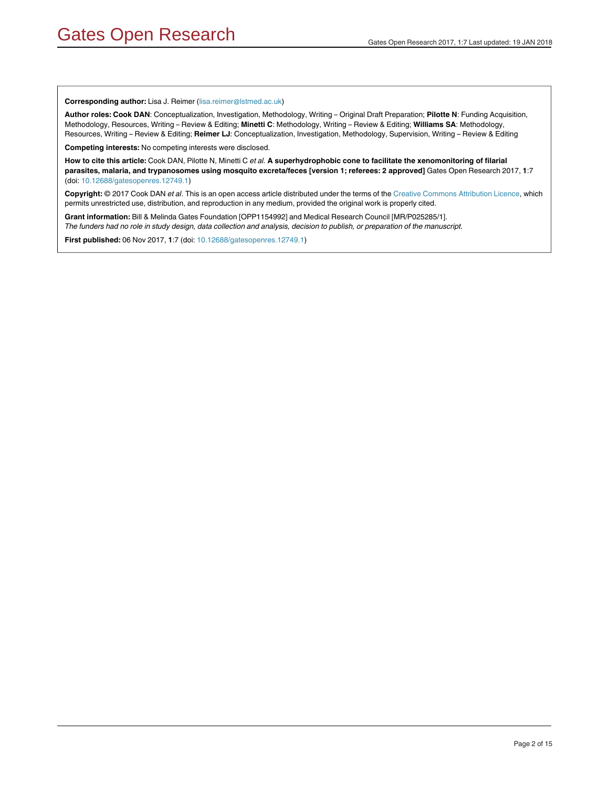#### **Corresponding author:** Lisa J. Reimer (lisa.reimer@lstmed.ac.uk)

**Author roles: Cook DAN**: Conceptualization, Investigation, Methodology, Writing – Original Draft Preparation; **Pilotte N**: Funding Acquisition, Methodology, Resources, Writing – Review & Editing; **Minetti C**: Methodology, Writing – Review & Editing; **Williams SA**: Methodology, Resources, Writing – Review & Editing; **Reimer LJ**: Conceptualization, Investigation, Methodology, Supervision, Writing – Review & Editing

**Competing interests:** No competing interests were disclosed.

**How to cite this article:** Cook DAN, Pilotte N, Minetti C *et al.* **A superhydrophobic cone to facilitate the xenomonitoring of filarial parasites, malaria, and trypanosomes using mosquito excreta/feces [version 1; referees: 2 approved]** Gates Open Research 2017, **1**:7 (doi: [10.12688/gatesopenres.12749.1\)](http://dx.doi.org/10.12688/gatesopenres.12749.1)

**Copyright:** © 2017 Cook DAN *et al*. This is an open access article distributed under the terms of the [Creative Commons Attribution Licence,](http://creativecommons.org/licenses/by/4.0/) which permits unrestricted use, distribution, and reproduction in any medium, provided the original work is properly cited.

**Grant information:** Bill & Melinda Gates Foundation [OPP1154992] and Medical Research Council [MR/P025285/1]. *The funders had no role in study design, data collection and analysis, decision to publish, or preparation of the manuscript.*

**First published:** 06 Nov 2017, **1**:7 (doi: [10.12688/gatesopenres.12749.1](http://dx.doi.org/10.12688/gatesopenres.12749.1))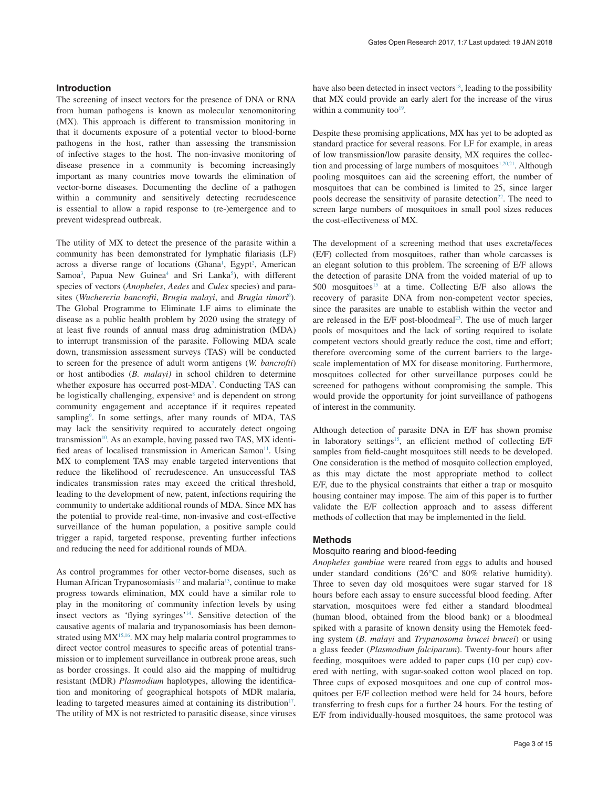#### **Introduction**

The screening of insect vectors for the presence of DNA or RNA from human pathogens is known as molecular xenomonitoring (MX). This approach is different to transmission monitoring in that it documents exposure of a potential vector to blood-borne pathogens in the host, rather than assessing the transmission of infective stages to the host. The non-invasive monitoring of disease presence in a community is becoming increasingly important as many countries move towards the elimination of vector-borne diseases. Documenting the decline of a pathogen within a community and sensitively detecting recrudescence is essential to allow a rapid response to (re-)emergence and to prevent widespread outbreak.

The utility of MX to detect the presence of the parasite within a community has been demonstrated for lymphatic filariasis (LF) across a diverse range of locations (Ghana<sup>1</sup>, Egypt<sup>2</sup>, American Samoa<sup>3</sup>, Papua New Guinea<sup>4</sup> and Sri Lanka<sup>5</sup>), with different species of vectors (*Anopheles*, *Aedes* and *Culex* species) and para-sites (Wuchereria bancrofti, Brugia malayi, and Brugia timori<sup>[6](#page-7-0)</sup>). The Global Programme to Eliminate LF aims to eliminate the disease as a public health problem by 2020 using the strategy of at least five rounds of annual mass drug administration (MDA) to interrupt transmission of the parasite. Following MDA scale down, transmission assessment surveys (TAS) will be conducted to screen for the presence of adult worm antigens (*W. bancrofti*) or host antibodies (*B. malayi)* in school children to determine whether exposure has occurred post-MDA<sup>[7](#page-7-0)</sup>. Conducting TAS can be logistically challenging, expensive<sup>8</sup> and is dependent on strong community engagement and acceptance if it requires repeated sampling<sup>[9](#page-8-0)</sup>. In some settings, after many rounds of MDA, TAS may lack the sensitivity required to accurately detect ongoing transmission $10$ . As an example, having passed two TAS, MX identified areas of localised transmission in American Samoa<sup>11</sup>. Using MX to complement TAS may enable targeted interventions that reduce the likelihood of recrudescence. An unsuccessful TAS indicates transmission rates may exceed the critical threshold, leading to the development of new, patent, infections requiring the community to undertake additional rounds of MDA. Since MX has the potential to provide real-time, non-invasive and cost-effective surveillance of the human population, a positive sample could trigger a rapid, targeted response, preventing further infections and reducing the need for additional rounds of MDA.

As control programmes for other vector-borne diseases, such as Human African Trypanosomiasis<sup>[12](#page-8-0)</sup> and malaria<sup>13</sup>, continue to make progress towards elimination, MX could have a similar role to play in the monitoring of community infection levels by using insect vectors as 'flying syringes['14](#page-8-0). Sensitive detection of the causative agents of malaria and trypanosomiasis has been demonstrated using  $MX^{15,16}$ . MX may help malaria control programmes to direct vector control measures to specific areas of potential transmission or to implement surveillance in outbreak prone areas, such as border crossings. It could also aid the mapping of multidrug resistant (MDR) *Plasmodium* haplotypes, allowing the identification and monitoring of geographical hotspots of MDR malaria, leading to targeted measures aimed at containing its distribution<sup>17</sup>. The utility of MX is not restricted to parasitic disease, since viruses

have also been detected in insect vectors<sup>18</sup>, leading to the possibility that MX could provide an early alert for the increase of the virus within a community too $19$ .

Despite these promising applications, MX has yet to be adopted as standard practice for several reasons. For LF for example, in areas of low transmission/low parasite density, MX requires the collection and processing of large numbers of mosquitoes $1,20,21$  $1,20,21$  $1,20,21$ . Although pooling mosquitoes can aid the screening effort, the number of mosquitoes that can be combined is limited to 25, since larger pools decrease the sensitivity of parasite detection<sup>22</sup>. The need to screen large numbers of mosquitoes in small pool sizes reduces the cost-effectiveness of MX.

The development of a screening method that uses excreta/feces (E/F) collected from mosquitoes, rather than whole carcasses is an elegant solution to this problem. The screening of E/F allows the detection of parasite DNA from the voided material of up to 500 mosquitoes<sup>15</sup> at a time. Collecting E/F also allows the recovery of parasite DNA from non-competent vector species, since the parasites are unable to establish within the vector and are released in the E/F post-bloodmeal<sup>23</sup>. The use of much larger pools of mosquitoes and the lack of sorting required to isolate competent vectors should greatly reduce the cost, time and effort; therefore overcoming some of the current barriers to the largescale implementation of MX for disease monitoring. Furthermore, mosquitoes collected for other surveillance purposes could be screened for pathogens without compromising the sample. This would provide the opportunity for joint surveillance of pathogens of interest in the community.

Although detection of parasite DNA in E/F has shown promise in laboratory settings<sup>15</sup>, an efficient method of collecting E/F samples from field-caught mosquitoes still needs to be developed. One consideration is the method of mosquito collection employed, as this may dictate the most appropriate method to collect E/F, due to the physical constraints that either a trap or mosquito housing container may impose. The aim of this paper is to further validate the E/F collection approach and to assess different methods of collection that may be implemented in the field.

## **Methods**

#### Mosquito rearing and blood-feeding

*Anopheles gambiae* were reared from eggs to adults and housed under standard conditions (26°C and 80% relative humidity). Three to seven day old mosquitoes were sugar starved for 18 hours before each assay to ensure successful blood feeding. After starvation, mosquitoes were fed either a standard bloodmeal (human blood, obtained from the blood bank) or a bloodmeal spiked with a parasite of known density using the Hemotek feeding system (*B. malayi* and *Trypanosoma brucei brucei*) or using a glass feeder (*Plasmodium falciparum*). Twenty-four hours after feeding, mosquitoes were added to paper cups (10 per cup) covered with netting, with sugar-soaked cotton wool placed on top. Three cups of exposed mosquitoes and one cup of control mosquitoes per E/F collection method were held for 24 hours, before transferring to fresh cups for a further 24 hours. For the testing of E/F from individually-housed mosquitoes, the same protocol was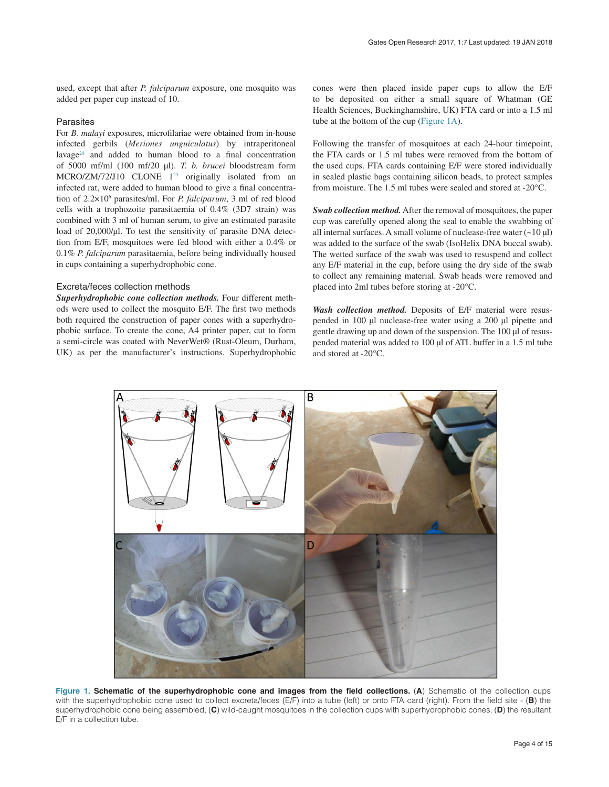<span id="page-3-0"></span>used, except that after *P. falciparum* exposure, one mosquito was added per paper cup instead of 10.

## Parasites

For *B. malayi* exposures, microfilariae were obtained from in-house infected gerbils (*Meriones unguiculatus*) by intraperitoneal lavage<sup>[24](#page-8-0)</sup> and added to human blood to a final concentration of 5000 mf/ml (100 mf/20 µl). *T. b. brucei* bloodstream form MCRO/ZM/72/J10 CLONE  $1^{25}$  originally isolated from an infected rat, were added to human blood to give a final concentration of 2.2×106 parasites/ml. For *P. falciparum*, 3 ml of red blood cells with a trophozoite parasitaemia of 0.4% (3D7 strain) was combined with 3 ml of human serum, to give an estimated parasite load of 20,000/µl. To test the sensitivity of parasite DNA detection from E/F, mosquitoes were fed blood with either a 0.4% or 0.1% *P. falciparum* parasitaemia, before being individually housed in cups containing a superhydrophobic cone.

### Excreta/feces collection methods

*Superhydrophobic cone collection methods.* Four different methods were used to collect the mosquito E/F. The first two methods both required the construction of paper cones with a superhydrophobic surface. To create the cone, A4 printer paper, cut to form a semi-circle was coated with NeverWet® (Rust-Oleum, Durham, UK) as per the manufacturer's instructions. Superhydrophobic

cones were then placed inside paper cups to allow the E/F to be deposited on either a small square of Whatman (GE Health Sciences, Buckinghamshire, UK) FTA card or into a 1.5 ml tube at the bottom of the cup (Figure 1A).

Following the transfer of mosquitoes at each 24-hour timepoint, the FTA cards or 1.5 ml tubes were removed from the bottom of the used cups. FTA cards containing E/F were stored individually in sealed plastic bags containing silicon beads, to protect samples from moisture. The 1.5 ml tubes were sealed and stored at -20°C.

*Swab collection method.* After the removal of mosquitoes, the paper cup was carefully opened along the seal to enable the swabbing of all internal surfaces. A small volume of nuclease-free water  $(\sim10 \,\mu\text{J})$ was added to the surface of the swab (IsoHelix DNA buccal swab). The wetted surface of the swab was used to resuspend and collect any E/F material in the cup, before using the dry side of the swab to collect any remaining material. Swab heads were removed and placed into 2ml tubes before storing at -20°C.

*Wash collection method.* Deposits of E/F material were resuspended in 100 µl nuclease-free water using a 200 µl pipette and gentle drawing up and down of the suspension. The 100 µl of resuspended material was added to 100 µl of ATL buffer in a 1.5 ml tube and stored at -20°C.



Figure 1. Schematic of the superhydrophobic cone and images from the field collections. (A) Schematic of the collection cups with the superhydrophobic cone used to collect excreta/feces (E/F) into a tube (left) or onto FTA card (right). From the field site - (**B**) the superhydrophobic cone being assembled, (**C**) wild-caught mosquitoes in the collection cups with superhydrophobic cones, (**D**) the resultant E/F in a collection tube.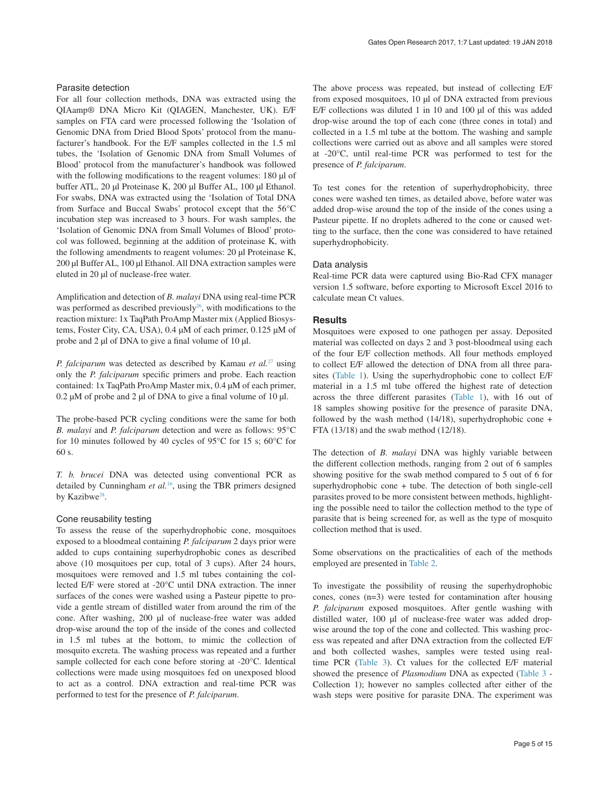## Parasite detection

For all four collection methods, DNA was extracted using the QIAamp® DNA Micro Kit (QIAGEN, Manchester, UK). E/F samples on FTA card were processed following the 'Isolation of Genomic DNA from Dried Blood Spots' protocol from the manufacturer's handbook. For the E/F samples collected in the 1.5 ml tubes, the 'Isolation of Genomic DNA from Small Volumes of Blood' protocol from the manufacturer's handbook was followed with the following modifications to the reagent volumes: 180 µl of buffer ATL, 20 µl Proteinase K, 200 µl Buffer AL, 100 µl Ethanol. For swabs, DNA was extracted using the 'Isolation of Total DNA from Surface and Buccal Swabs' protocol except that the 56°C incubation step was increased to 3 hours. For wash samples, the 'Isolation of Genomic DNA from Small Volumes of Blood' protocol was followed, beginning at the addition of proteinase K, with the following amendments to reagent volumes: 20 µl Proteinase K, 200 µl Buffer AL, 100 µl Ethanol. All DNA extraction samples were eluted in 20 µl of nuclease-free water.

Amplification and detection of *B. malayi* DNA using real-time PCR was performed as described previously<sup>26</sup>, with modifications to the reaction mixture: 1x TaqPath ProAmp Master mix (Applied Biosystems, Foster City, CA, USA), 0.4 µM of each primer, 0.125 µM of probe and 2 µl of DNA to give a final volume of 10 µl.

*P. falciparum* was detected as described by Kamau *et al.*[27](#page-8-0) using only the *P. falciparum* specific primers and probe. Each reaction contained: 1x TaqPath ProAmp Master mix, 0.4 µM of each primer,  $0.2 \mu M$  of probe and 2  $\mu$ l of DNA to give a final volume of 10  $\mu$ l.

The probe-based PCR cycling conditions were the same for both *B. malayi* and *P. falciparum* detection and were as follows: 95°C for 10 minutes followed by 40 cycles of 95°C for 15 s; 60°C for 60 s.

*T. b. brucei* DNA was detected using conventional PCR as detailed by Cunningham *et al.*[16](#page-8-0), using the TBR primers designed by Kazibwe<sup>[28](#page-8-0)</sup>.

#### Cone reusability testing

To assess the reuse of the superhydrophobic cone, mosquitoes exposed to a bloodmeal containing *P. falciparum* 2 days prior were added to cups containing superhydrophobic cones as described above (10 mosquitoes per cup, total of 3 cups). After 24 hours, mosquitoes were removed and 1.5 ml tubes containing the collected E/F were stored at -20°C until DNA extraction. The inner surfaces of the cones were washed using a Pasteur pipette to provide a gentle stream of distilled water from around the rim of the cone. After washing, 200 µl of nuclease-free water was added drop-wise around the top of the inside of the cones and collected in 1.5 ml tubes at the bottom, to mimic the collection of mosquito excreta. The washing process was repeated and a further sample collected for each cone before storing at -20°C. Identical collections were made using mosquitoes fed on unexposed blood to act as a control. DNA extraction and real-time PCR was performed to test for the presence of *P. falciparum*.

The above process was repeated, but instead of collecting E/F from exposed mosquitoes, 10 µl of DNA extracted from previous E/F collections was diluted 1 in 10 and 100 µl of this was added drop-wise around the top of each cone (three cones in total) and collected in a 1.5 ml tube at the bottom. The washing and sample collections were carried out as above and all samples were stored at -20°C, until real-time PCR was performed to test for the presence of *P. falciparum*.

To test cones for the retention of superhydrophobicity, three cones were washed ten times, as detailed above, before water was added drop-wise around the top of the inside of the cones using a Pasteur pipette. If no droplets adhered to the cone or caused wetting to the surface, then the cone was considered to have retained superhydrophobicity.

#### Data analysis

Real-time PCR data were captured using Bio-Rad CFX manager version 1.5 software, before exporting to Microsoft Excel 2016 to calculate mean Ct values.

#### **Results**

Mosquitoes were exposed to one pathogen per assay. Deposited material was collected on days 2 and 3 post-bloodmeal using each of the four E/F collection methods. All four methods employed to collect E/F allowed the detection of DNA from all three parasites [\(Table 1](#page-5-0)). Using the superhydrophobic cone to collect E/F material in a 1.5 ml tube offered the highest rate of detection across the three different parasites ([Table 1](#page-5-0)), with 16 out of 18 samples showing positive for the presence of parasite DNA, followed by the wash method  $(14/18)$ , superhydrophobic cone + FTA (13/18) and the swab method (12/18).

The detection of *B. malayi* DNA was highly variable between the different collection methods, ranging from 2 out of 6 samples showing positive for the swab method compared to 5 out of 6 for superhydrophobic cone + tube. The detection of both single-cell parasites proved to be more consistent between methods, highlighting the possible need to tailor the collection method to the type of parasite that is being screened for, as well as the type of mosquito collection method that is used.

Some observations on the practicalities of each of the methods employed are presented in [Table 2.](#page-5-0)

To investigate the possibility of reusing the superhydrophobic cones, cones (n=3) were tested for contamination after housing *P. falciparum* exposed mosquitoes. After gentle washing with distilled water, 100 µl of nuclease-free water was added dropwise around the top of the cone and collected. This washing process was repeated and after DNA extraction from the collected E/F and both collected washes, samples were tested using realtime PCR [\(Table 3](#page-6-0)). Ct values for the collected E/F material showed the presence of *Plasmodium* DNA as expected [\(Table 3](#page-6-0) - Collection 1); however no samples collected after either of the wash steps were positive for parasite DNA. The experiment was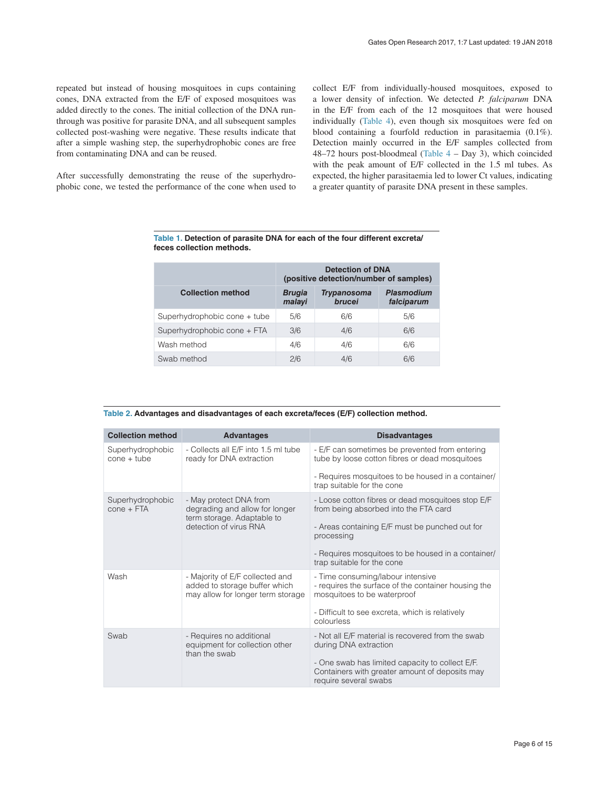<span id="page-5-0"></span>repeated but instead of housing mosquitoes in cups containing cones, DNA extracted from the E/F of exposed mosquitoes was added directly to the cones. The initial collection of the DNA runthrough was positive for parasite DNA, and all subsequent samples collected post-washing were negative. These results indicate that after a simple washing step, the superhydrophobic cones are free from contaminating DNA and can be reused.

After successfully demonstrating the reuse of the superhydrophobic cone, we tested the performance of the cone when used to collect E/F from individually-housed mosquitoes, exposed to a lower density of infection. We detected *P. falciparum* DNA in the E/F from each of the 12 mosquitoes that were housed individually ([Table 4\)](#page-6-0), even though six mosquitoes were fed on blood containing a fourfold reduction in parasitaemia (0.1%). Detection mainly occurred in the E/F samples collected from 48–72 hours post-bloodmeal (Table  $4 - Day$  3), which coincided with the peak amount of E/F collected in the 1.5 ml tubes. As expected, the higher parasitaemia led to lower Ct values, indicating a greater quantity of parasite DNA present in these samples.

|                              | <b>Detection of DNA</b><br>(positive detection/number of samples) |                              |                                 |
|------------------------------|-------------------------------------------------------------------|------------------------------|---------------------------------|
| <b>Collection method</b>     | <b>Brugia</b><br>malayi                                           | <b>Trypanosoma</b><br>brucei | <b>Plasmodium</b><br>falciparum |
| Superhydrophobic cone + tube | 5/6                                                               | 6/6                          | 5/6                             |
| Superhydrophobic cone + FTA  | 3/6                                                               | 4/6                          | 6/6                             |
| Wash method                  | 4/6                                                               | 4/6                          | 6/6                             |
| Swab method                  | 2/6                                                               | 4/6                          | 6/6                             |

| Table 1. Detection of parasite DNA for each of the four different excreta/ |  |  |
|----------------------------------------------------------------------------|--|--|
| feces collection methods.                                                  |  |  |

|  | Table 2. Advantages and disadvantages of each excreta/feces (E/F) collection method. |  |  |  |  |  |
|--|--------------------------------------------------------------------------------------|--|--|--|--|--|
|--|--------------------------------------------------------------------------------------|--|--|--|--|--|

| <b>Collection method</b>          | <b>Advantages</b>                                                                                     | <b>Disadvantages</b>                                                                                                       |
|-----------------------------------|-------------------------------------------------------------------------------------------------------|----------------------------------------------------------------------------------------------------------------------------|
| Superhydrophobic<br>$cone + tube$ | - Collects all E/F into 1.5 ml tube<br>ready for DNA extraction                                       | - E/F can sometimes be prevented from entering<br>tube by loose cotton fibres or dead mosquitoes                           |
|                                   |                                                                                                       | - Requires mosquitoes to be housed in a container/<br>trap suitable for the cone                                           |
| Superhydrophobic<br>$cone + FTA$  | - May protect DNA from<br>degrading and allow for longer                                              | - Loose cotton fibres or dead mosquitoes stop E/F<br>from being absorbed into the FTA card                                 |
|                                   | term storage. Adaptable to<br>detection of virus RNA                                                  | - Areas containing E/F must be punched out for<br>processing                                                               |
|                                   |                                                                                                       | - Requires mosquitoes to be housed in a container/<br>trap suitable for the cone                                           |
| Wash                              | - Majority of E/F collected and<br>added to storage buffer which<br>may allow for longer term storage | - Time consuming/labour intensive<br>- requires the surface of the container housing the<br>mosquitoes to be waterproof    |
|                                   |                                                                                                       | - Difficult to see excreta, which is relatively<br>colourless                                                              |
| Swab                              | - Requires no additional<br>equipment for collection other<br>than the swab                           | - Not all E/F material is recovered from the swab<br>during DNA extraction                                                 |
|                                   |                                                                                                       | - One swab has limited capacity to collect E/F.<br>Containers with greater amount of deposits may<br>require several swabs |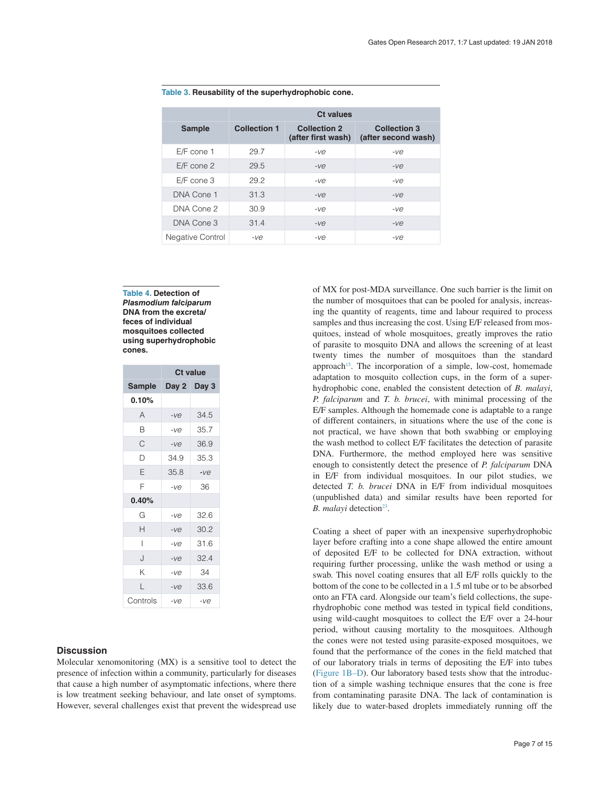|                  | <b>Ct values</b>    |                                           |                                            |  |
|------------------|---------------------|-------------------------------------------|--------------------------------------------|--|
| <b>Sample</b>    | <b>Collection 1</b> | <b>Collection 2</b><br>(after first wash) | <b>Collection 3</b><br>(after second wash) |  |
| $E/F$ cone 1     | 29.7                | $-ve$                                     | $-ve$                                      |  |
| $E/F$ cone 2     | 29.5                | -ve                                       | $-ve$                                      |  |
| $E/F$ cone 3     | 29.2                | $-ve$                                     | $-ve$                                      |  |
| DNA Cone 1       | 31.3                | $-ve$                                     | $-ve$                                      |  |
| DNA Cone 2       | 30.9                | $-ve$                                     | $-ve$                                      |  |
| DNA Cone 3       | 31.4                | $-ve$                                     | $-ve$                                      |  |
| Negative Control | -ve                 | -ve                                       | -ve                                        |  |

#### <span id="page-6-0"></span>**Table 3. Reusability of the superhydrophobic cone.**

**Table 4. Detection of**  *Plasmodium falciparum* **DNA from the excreta/ feces of individual mosquitoes collected using superhydrophobic cones.**

|               | <b>Ct value</b> |             |  |
|---------------|-----------------|-------------|--|
| <b>Sample</b> |                 | Day 2 Day 3 |  |
| 0.10%         |                 |             |  |
| A             | -ve             | 34.5        |  |
| В             | $-ve$           | 35.7        |  |
| С             | $-ve$           | 36.9        |  |
| D             | 34.9            | 35.3        |  |
| E             | 35.8            | $-ve$       |  |
| F             | $-ve$           | 36          |  |
| 0.40%         |                 |             |  |
| G             | $-ve$           | 32.6        |  |
| Н             | $-ve$           | 30.2        |  |
| ı             | $-ve$           | 31.6        |  |
| J             | $-ve$           | 32.4        |  |
| Κ             | $-ve$           | 34          |  |
| L             | $-ve$           | 33.6        |  |
| Controls      | $-ve$           | $-ve$       |  |

## **Discussion**

Molecular xenomonitoring (MX) is a sensitive tool to detect the presence of infection within a community, particularly for diseases that cause a high number of asymptomatic infections, where there is low treatment seeking behaviour, and late onset of symptoms. However, several challenges exist that prevent the widespread use of MX for post-MDA surveillance. One such barrier is the limit on the number of mosquitoes that can be pooled for analysis, increasing the quantity of reagents, time and labour required to process samples and thus increasing the cost. Using E/F released from mosquitoes, instead of whole mosquitoes, greatly improves the ratio of parasite to mosquito DNA and allows the screening of at least twenty times the number of mosquitoes than the standard approach<sup>15</sup>. The incorporation of a simple, low-cost, homemade adaptation to mosquito collection cups, in the form of a superhydrophobic cone, enabled the consistent detection of *B. malayi*, *P. falciparum* and *T. b. brucei*, with minimal processing of the E/F samples. Although the homemade cone is adaptable to a range of different containers, in situations where the use of the cone is not practical, we have shown that both swabbing or employing the wash method to collect E/F facilitates the detection of parasite DNA. Furthermore, the method employed here was sensitive enough to consistently detect the presence of *P. falciparum* DNA in E/F from individual mosquitoes. In our pilot studies, we detected *T. b. brucei* DNA in E/F from individual mosquitoes (unpublished data) and similar results have been reported for *B. malayi* detection<sup>23</sup>.

Coating a sheet of paper with an inexpensive superhydrophobic layer before crafting into a cone shape allowed the entire amount of deposited E/F to be collected for DNA extraction, without requiring further processing, unlike the wash method or using a swab. This novel coating ensures that all E/F rolls quickly to the bottom of the cone to be collected in a 1.5 ml tube or to be absorbed onto an FTA card. Alongside our team's field collections, the superhydrophobic cone method was tested in typical field conditions, using wild-caught mosquitoes to collect the E/F over a 24-hour period, without causing mortality to the mosquitoes. Although the cones were not tested using parasite-exposed mosquitoes, we found that the performance of the cones in the field matched that of our laboratory trials in terms of depositing the E/F into tubes ([Figure 1B–D](#page-3-0)). Our laboratory based tests show that the introduction of a simple washing technique ensures that the cone is free from contaminating parasite DNA. The lack of contamination is likely due to water-based droplets immediately running off the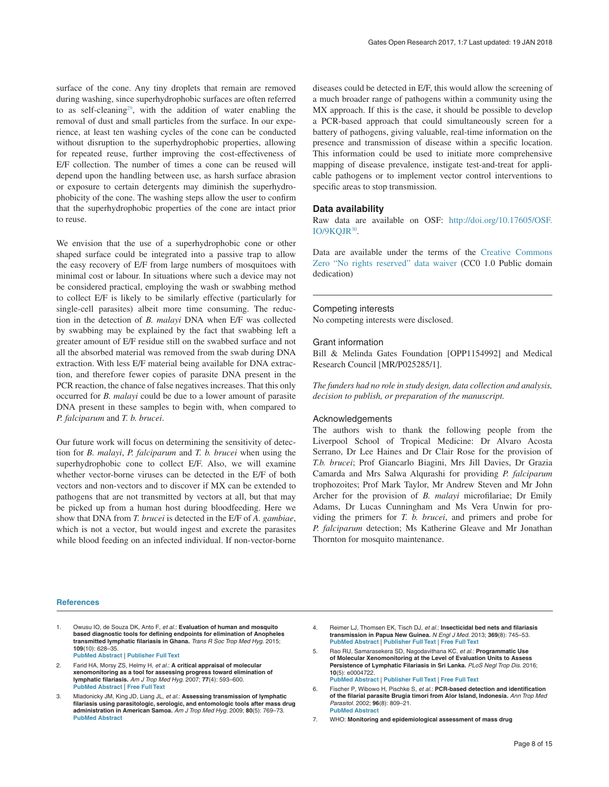<span id="page-7-0"></span>surface of the cone. Any tiny droplets that remain are removed during washing, since superhydrophobic surfaces are often referred to as self-cleaning<sup>29</sup>, with the addition of water enabling the removal of dust and small particles from the surface. In our experience, at least ten washing cycles of the cone can be conducted without disruption to the superhydrophobic properties, allowing for repeated reuse, further improving the cost-effectiveness of E/F collection. The number of times a cone can be reused will depend upon the handling between use, as harsh surface abrasion or exposure to certain detergents may diminish the superhydrophobicity of the cone. The washing steps allow the user to confirm that the superhydrophobic properties of the cone are intact prior to reuse.

We envision that the use of a superhydrophobic cone or other shaped surface could be integrated into a passive trap to allow the easy recovery of E/F from large numbers of mosquitoes with minimal cost or labour. In situations where such a device may not be considered practical, employing the wash or swabbing method to collect E/F is likely to be similarly effective (particularly for single-cell parasites) albeit more time consuming. The reduction in the detection of *B. malayi* DNA when E/F was collected by swabbing may be explained by the fact that swabbing left a greater amount of E/F residue still on the swabbed surface and not all the absorbed material was removed from the swab during DNA extraction. With less E/F material being available for DNA extraction, and therefore fewer copies of parasite DNA present in the PCR reaction, the chance of false negatives increases. That this only occurred for *B. malayi* could be due to a lower amount of parasite DNA present in these samples to begin with, when compared to *P. falciparum* and *T. b. brucei*.

Our future work will focus on determining the sensitivity of detection for *B. malayi*, *P. falciparum* and *T. b. brucei* when using the superhydrophobic cone to collect E/F. Also, we will examine whether vector-borne viruses can be detected in the E/F of both vectors and non-vectors and to discover if MX can be extended to pathogens that are not transmitted by vectors at all, but that may be picked up from a human host during bloodfeeding. Here we show that DNA from *T. brucei* is detected in the E/F of *A. gambiae*, which is not a vector, but would ingest and excrete the parasites while blood feeding on an infected individual. If non-vector-borne

diseases could be detected in E/F, this would allow the screening of a much broader range of pathogens within a community using the MX approach. If this is the case, it should be possible to develop a PCR-based approach that could simultaneously screen for a battery of pathogens, giving valuable, real-time information on the presence and transmission of disease within a specific location. This information could be used to initiate more comprehensive mapping of disease prevalence, instigate test-and-treat for applicable pathogens or to implement vector control interventions to specific areas to stop transmission.

#### **Data availability**

Raw data are available on OSF: [http://doi.org/10.17605/OSF.](http://doi.org/10.17605/OSF.IO/9KQJR) [IO/9KQJR](http://doi.org/10.17605/OSF.IO/9KQJR)[30.](#page-8-0)

Data are available under the terms of the [Creative Commons](http://creativecommons.org/publicdomain/zero/1.0/)  [Zero "No rights reserved" data waiver](http://creativecommons.org/publicdomain/zero/1.0/) (CC0 1.0 Public domain dedication)

#### Competing interests

No competing interests were disclosed.

#### Grant information

Bill & Melinda Gates Foundation [OPP1154992] and Medical Research Council [MR/P025285/1].

*The funders had no role in study design, data collection and analysis, decision to publish, or preparation of the manuscript.*

#### Acknowledgements

The authors wish to thank the following people from the Liverpool School of Tropical Medicine: Dr Alvaro Acosta Serrano, Dr Lee Haines and Dr Clair Rose for the provision of *T.b. brucei*; Prof Giancarlo Biagini, Mrs Jill Davies, Dr Grazia Camarda and Mrs Salwa Alqurashi for providing *P. falciparum* trophozoites; Prof Mark Taylor, Mr Andrew Steven and Mr John Archer for the provision of *B. malayi* microfilariae; Dr Emily Adams, Dr Lucas Cunningham and Ms Vera Unwin for providing the primers for *T. b. brucei*, and primers and probe for *P. falciparum* detection; Ms Katherine Gleave and Mr Jonathan Thornton for mosquito maintenance.

#### **References**

1. Owusu IO, de Souza DK, Anto F, *et al.*: **Evaluation of human and mosquito based diagnostic tools for defining endpoints for elimination of Anopheles transmitted lymphatic filariasis in Ghana.** *Trans R Soc Trop Med Hyg.* 2015; **109**(10): 628–35.

**[PubMed Abstract](http://www.ncbi.nlm.nih.gov/pubmed/26385935)** | **[Publisher Full Text](http://dx.doi.org/10.1093/trstmh/trv070)**

- 2. Farid HA, Morsy ZS, Helmy H, *et al.*: **A critical appraisal of molecular xenomonitoring as a tool for assessing progress toward elimination of lymphatic filariasis.** *Am J Trop Med Hyg.* 2007; **77**(4): 593–600. **[PubMed Abstract](http://www.ncbi.nlm.nih.gov/pubmed/17978055)** | **[Free Full Text](http://www.ncbi.nlm.nih.gov/pmc/articles/2196407)**
- 3. Mladonicky JM, King JD, Liang JL, *et al.*: **Assessing transmission of lymphatic filariasis using parasitologic, serologic, and entomologic tools after mass drug administration in American Samoa.** *Am J Trop Med Hyg.* 2009; **80**(5): 769–73. **[PubMed Abstract](http://www.ncbi.nlm.nih.gov/pubmed/19407122)**
- 4. Reimer LJ, Thomsen EK, Tisch DJ, *et al.*: **Insecticidal bed nets and filariasis transmission in Papua New Guinea.** *N Engl J Med.* 2013; **369**(8): 745–53. **[PubMed Abstract](http://www.ncbi.nlm.nih.gov/pubmed/23964936)** | **[Publisher Full Text](http://dx.doi.org/10.1056/NEJMoa1207594)** | **[Free Full Text](http://www.ncbi.nlm.nih.gov/pmc/articles/3835352)**
- 5. Rao RU, Samarasekera SD, Nagodavithana KC, *et al.*: **Programmatic Use of Molecular Xenomonitoring at the Level of Evaluation Units to Assess Persistence of Lymphatic Filariasis in Sri Lanka.** *PLoS Negl Trop Dis.* 2016; **10**(5): e0004722. **[PubMed Abstract](http://www.ncbi.nlm.nih.gov/pubmed/27196431)** | **[Publisher Full Text](http://dx.doi.org/10.1371/journal.pntd.0004722)** | **[Free Full Text](http://www.ncbi.nlm.nih.gov/pmc/articles/4873130)**
- 6. Fischer P, Wibowo H, Pischke S, *et al.*: **PCR-based detection and identification of the filarial parasite Brugia timori from Alor Island, Indonesia.** *Ann Trop Med Parasitol.* 2002; **96**(8): 809–21. **[PubMed Abstract](http://www.ncbi.nlm.nih.gov/pubmed/12625936)**
- 7. WHO: **Monitoring and epidemiological assessment of mass drug**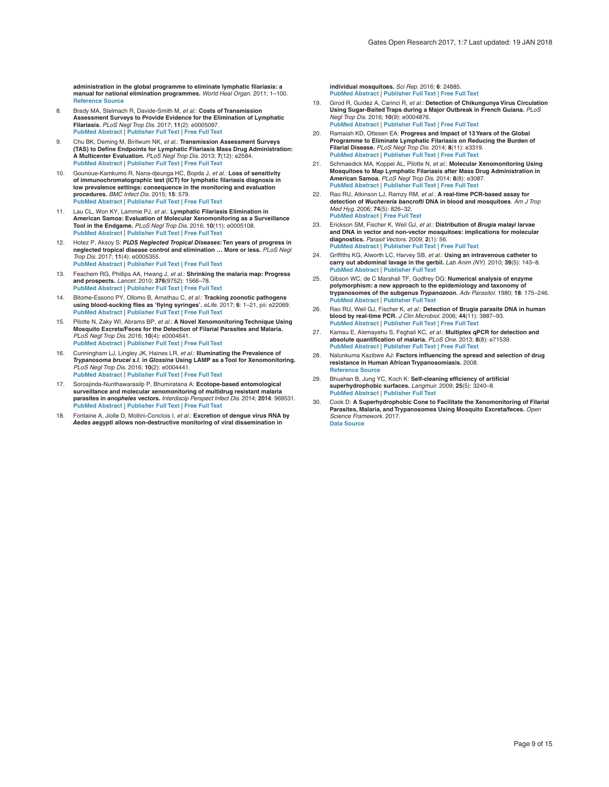<span id="page-8-0"></span>**administration in the global programme to eliminate lymphatic filariasis: a manual for national elimination programmes.** *World Heal Organ.* 2011; 1–100. **[Reference Source](http://apps.who.int/iris/bitstream/10665/44580/1/9789241501484_eng.pdf)**

- 8. Brady MA, Stelmach R, Davide-Smith M, *et al.*: **Costs of Transmission Assessment Surveys to Provide Evidence for the Elimination of Lymphatic Filariasis.** *PLoS Negl Trop Dis.* 2017; **11**(2): e0005097. **[PubMed Abstract](http://www.ncbi.nlm.nih.gov/pubmed/28146557)** | **[Publisher Full Text](http://dx.doi.org/10.1371/journal.pntd.0005097)** | **[Free Full Text](http://www.ncbi.nlm.nih.gov/pmc/articles/5287447)**
- 9. Chu BK, Deming M, Biritwum NK, *et al.*: **Transmission Assessment Surveys (TAS) to Define Endpoints for Lymphatic Filariasis Mass Drug Administration: A Multicenter Evaluation.** *PLoS Negl Trop Dis.* 2013; **7**(12): e2584. **[PubMed Abstract](http://www.ncbi.nlm.nih.gov/pubmed/24340120)** | **[Publisher Full Text](http://dx.doi.org/10.1371/journal.pntd.0002584)** | **[Free Full Text](http://www.ncbi.nlm.nih.gov/pmc/articles/3855047)**
- 10. Gounoue-Kamkumo R, Nana-djeunga HC, Bopda J, *et al.*: **Loss of sensitivity of immunochromatographic test (ICT) for lymphatic filariasis diagnosis in low prevalence settings: consequence in the monitoring and evaluation procedures.** *BMC Infect Dis.* 2015; **15**: 579. **[PubMed Abstract](http://www.ncbi.nlm.nih.gov/pubmed/26700472)** | **[Publisher Full Text](http://dx.doi.org/10.1186/s12879-015-1317-x)** | **[Free Full Text](http://www.ncbi.nlm.nih.gov/pmc/articles/4690254)**
- 11. Lau CL, Won KY, Lammie PJ, *et al.*: **Lymphatic Filariasis Elimination in American Samoa: Evaluation of Molecular Xenomonitoring as a Surveillance Tool in the Endgame.** *PLoS Negl Trop Dis.* 2016; **10**(11): e0005108. **[PubMed Abstract](http://www.ncbi.nlm.nih.gov/pubmed/27802280)** | **[Publisher Full Text](http://dx.doi.org/10.1371/journal.pntd.0005108)** | **[Free Full Text](http://www.ncbi.nlm.nih.gov/pmc/articles/5089733)**
- 12. Hotez P, Aksoy S: *PLOS Neglected Tropical Diseases***: Ten years of progress in neglected tropical disease control and elimination … More or less.** *PLoS Negl Trop Dis.* 2017; **11**(4): e0005355. **[PubMed Abstract](http://www.ncbi.nlm.nih.gov/pubmed/28426662)** | **[Publisher Full Text](http://dx.doi.org/10.1371/journal.pntd.0005355)** | **[Free Full Text](http://www.ncbi.nlm.nih.gov/pmc/articles/5398476)**
- 13. Feachem RG, Phillips AA, Hwang J, *et al.*: **Shrinking the malaria map: Progress and prospects.** *Lancet.* 2010; **376**(9752): 1566–78. **[PubMed Abstract](http://www.ncbi.nlm.nih.gov/pubmed/21035842)** | **[Publisher Full Text](http://dx.doi.org/10.1016/S0140-6736(10)61270-6)** | **[Free Full Text](http://www.ncbi.nlm.nih.gov/pmc/articles/3044848)**
- 14. Bitome-Essono PY, Ollomo B, Arnathau C, *et al.*: **Tracking zoonotic pathogens using blood-sucking flies as 'flying syringes'.** *eLife.* 2017; **6**: 1–21, pii: e22069. **[PubMed Abstract](http://www.ncbi.nlm.nih.gov/pubmed/28347401)** | **[Publisher Full Text](http://dx.doi.org/10.7554/eLife.22069)** | **[Free Full Text](http://www.ncbi.nlm.nih.gov/pmc/articles/5426900)**
- 15. Pilotte N, Zaky WI, Abrams BP, *et al.*: **A Novel Xenomonitoring Technique Using Mosquito Excreta/Feces for the Detection of Filarial Parasites and Malaria.** *PLoS Negl Trop Dis.* 2016; **10**(4): e0004641. **[PubMed Abstract](http://www.ncbi.nlm.nih.gov/pubmed/27096156)** | **[Publisher Full Text](http://dx.doi.org/10.1371/journal.pntd.0004641)** | **[Free Full Text](http://www.ncbi.nlm.nih.gov/pmc/articles/4838226)**
- 16. Cunningham LJ, Lingley JK, Haines LR, *et al.*: **Illuminating the Prevalence of**  *Trypanosoma brucei s.l.* **in** *Glossina* **Using LAMP as a Tool for Xenomonitoring.** *PLoS Negl Trop Dis.* 2016; **10**(2): e0004441. **[PubMed Abstract](http://www.ncbi.nlm.nih.gov/pubmed/26890882)** | **[Publisher Full Text](http://dx.doi.org/10.1371/journal.pntd.0004441)** | **[Free Full Text](http://www.ncbi.nlm.nih.gov/pmc/articles/4758712)**
- 17. Sorosjinda-Nunthawarasilp P, Bhumiratana A: **Ecotope-based entomological surveillance and molecular xenomonitoring of multidrug resistant malaria parasites in** *anopheles* **vectors.** *Interdiscip Perspect Infect Dis.* 2014; **2014**: 969531. **[PubMed Abstract](http://www.ncbi.nlm.nih.gov/pubmed/25349605)** | **[Publisher Full Text](http://dx.doi.org/10.1155/2014/969531)** | **[Free Full Text](http://www.ncbi.nlm.nih.gov/pmc/articles/4198816)**
- 18. Fontaine A, Jiolle D, Moltini-Conclois I, *et al.*: **Excretion of dengue virus RNA by**  *Aedes aegypti* **allows non-destructive monitoring of viral dissemination in**

**individual mosquitoes.** *Sci Rep.* 2016; **6**: 24885. **[PubMed Abstract](http://www.ncbi.nlm.nih.gov/pubmed/27117953)** | **[Publisher Full Text](http://dx.doi.org/10.1038/srep24885)** | **[Free Full Text](http://www.ncbi.nlm.nih.gov/pmc/articles/4846815)**

- 19. Girod R, Guidez A, Carinci R, *et al.*: **Detection of Chikungunya Virus Circulation Using Sugar-Baited Traps during a Major Outbreak in French Guiana.** *PLoS Negl Trop Dis.* 2016; **10**(9): e0004876. **[PubMed Abstract](http://www.ncbi.nlm.nih.gov/pubmed/27606960)** | **[Publisher Full Text](http://dx.doi.org/10.1371/journal.pntd.0004876)** | **[Free Full Text](http://www.ncbi.nlm.nih.gov/pmc/articles/5015851)**
- 20. Ramaiah KD, Ottesen EA: **Progress and Impact of 13 Years of the Global Programme to Eliminate Lymphatic Filariasis on Reducing the Burden of Filarial Disease.** *PLoS Negl Trop Dis.* 2014; **8**(11): e3319. **[PubMed Abstract](http://www.ncbi.nlm.nih.gov/pubmed/25412180)** | **[Publisher Full Text](http://dx.doi.org/10.1371/journal.pntd.0003319)** | **[Free Full Text](http://www.ncbi.nlm.nih.gov/pmc/articles/4239120)**
- 21. Schmaedick MA, Koppel AL, Pilotte N, *et al.*: **Molecular Xenomonitoring Using Mosquitoes to Map Lymphatic Filariasis after Mass Drug Administration in American Samoa.** *PLoS Negl Trop Dis.* 2014; **8**(8): e3087. **[PubMed Abstract](http://www.ncbi.nlm.nih.gov/pubmed/25122037)** | **[Publisher Full Text](http://dx.doi.org/10.1371/journal.pntd.0003087)** | **[Free Full Text](http://www.ncbi.nlm.nih.gov/pmc/articles/4133231)**
- 22. Rao RU, Atkinson LJ, Ramzy RM, *et al.*: **A real-time PCR-based assay for detection of** *Wuchereria bancrofti* **DNA in blood and mosquitoes**. *Am J Trop Med Hyg.* 2006; **74**(5): 826–32. **[PubMed Abstract](http://www.ncbi.nlm.nih.gov/pubmed/16687688)** | **[Free Full Text](http://www.ncbi.nlm.nih.gov/pmc/articles/2196401)**
- 23. Erickson SM, Fischer K, Weil GJ, *et al.*: **Distribution of** *Brugia malayi* **larvae and DNA in vector and non-vector mosquitoes: implications for molecular diagnostics.** *Parasit Vectors.* 2009; **2**(1): 56. **[PubMed Abstract](http://www.ncbi.nlm.nih.gov/pubmed/19922607)** | **[Publisher Full Text](http://dx.doi.org/10.1186/1756-3305-2-56)** | **[Free Full Text](http://www.ncbi.nlm.nih.gov/pmc/articles/2781795)**
- 24. Griffiths KG, Alworth LC, Harvey SB, *et al.*: **Using an intravenous catheter to carry out abdominal lavage in the gerbil.** *Lab Anim (NY).* 2010; **39**(5): 143–8. **[PubMed Abstract](http://www.ncbi.nlm.nih.gov/pubmed/20410898)** | **[Publisher Full Text](http://dx.doi.org/10.1038/laban0510-143)**
- 25. Gibson WC, de C Marshall TF, Godfrey DG: **Numerical analysis of enzyme**  polymorphism: a new approach to the epidemiology and taxonomy of **trypanosomes of the subgenus** *Trypanozoon***.** *Adv Parasitol.* 1980; **18**: 175–246. **[PubMed Abstract](http://www.ncbi.nlm.nih.gov/pubmed/7001872)** | **[Publisher Full Text](http://dx.doi.org/10.1016/S0065-308X(08)60400-5)**
- 26. Rao RU, Weil GJ, Fischer K, *et al.*: **Detection of Brugia parasite DNA in human blood by real-time PCR.** *J Clin Microbiol.* 2006; **44**(11): 3887–93. **[PubMed Abstract](http://www.ncbi.nlm.nih.gov/pubmed/16957038)** | **[Publisher Full Text](http://dx.doi.org/10.1128/JCM.00969-06)** | **[Free Full Text](http://www.ncbi.nlm.nih.gov/pmc/articles/1698366)**
- 27. Kamau E, Alemayehu S, Feghali KC, *et al.*: **Multiplex qPCR for detection and absolute quantification of malaria.** *PLoS One.* 2013; **8**(8): e71539. **[PubMed Abstract](http://www.ncbi.nlm.nih.gov/pubmed/24009663)** | **[Publisher Full Text](http://dx.doi.org/10.1371/journal.pone.0071539)** | **[Free Full Text](http://www.ncbi.nlm.nih.gov/pmc/articles/3756973)**
- 28. Nalunkuma Kazibwe AJ: **Factors influencing the spread and selection of drug resistance in Human African Trypanosomiasis.** 2008. **[Reference Source](http://theses.gla.ac.uk/381/1/2008kazibwephd.pdf)**
- 29. Bhushan B, Jung YC, Koch K: **Self-cleaning efficiency of artificial superhydrophobic surfaces.** *Langmuir.* 2009; **25**(5): 3240–8. **[PubMed Abstract](http://www.ncbi.nlm.nih.gov/pubmed/19239196)** | **[Publisher Full Text](http://dx.doi.org/10.1021/la803860d)**
- 30. Cook D: **A Superhydrophobic Cone to Facilitate the Xenomonitoring of Filarial Parasites, Malaria, and Trypanosomes Using Mosquito Excreta/feces.** *Open Science Framework.* 2017. **[Data Source](http://dx.doi.org/10.17605/OSF.IO/9KQJR)**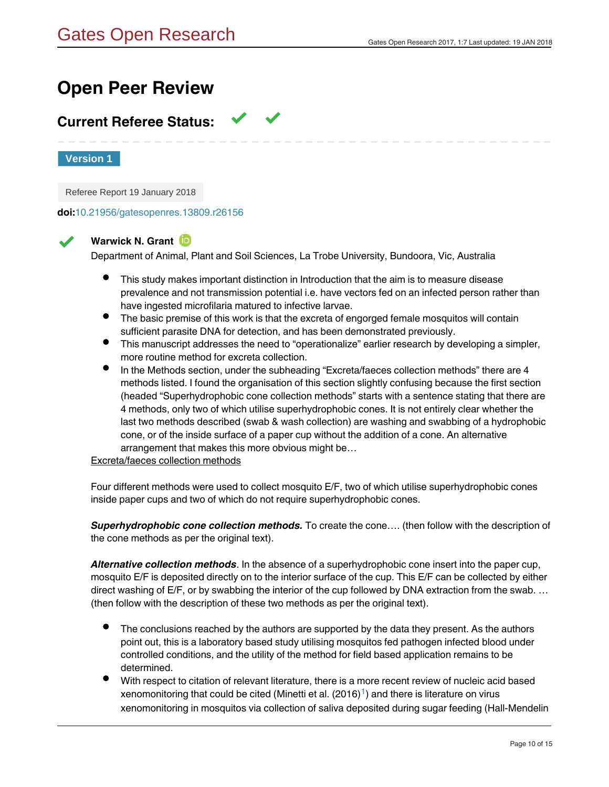## **Open Peer Review**

## **Current Referee Status:**

**Version 1**

Referee Report 19 January 2018

**doi:**[10.21956/gatesopenres.13809.r26156](http://dx.doi.org/10.21956/gatesopenres.13809.r26156)

## **Warwick N. Grant**

Department of Animal, Plant and Soil Sciences, La Trobe University, Bundoora, Vic, Australia

- This study makes important distinction in Introduction that the aim is to measure disease prevalence and not transmission potential i.e. have vectors fed on an infected person rather than have ingested microfilaria matured to infective larvae.
- The basic premise of this work is that the excreta of engorged female mosquitos will contain sufficient parasite DNA for detection, and has been demonstrated previously.
- This manuscript addresses the need to "operationalize" earlier research by developing a simpler, more routine method for excreta collection.
- In the Methods section, under the subheading "Excreta/faeces collection methods" there are 4 methods listed. I found the organisation of this section slightly confusing because the first section (headed "Superhydrophobic cone collection methods" starts with a sentence stating that there are 4 methods, only two of which utilise superhydrophobic cones. It is not entirely clear whether the last two methods described (swab & wash collection) are washing and swabbing of a hydrophobic cone, or of the inside surface of a paper cup without the addition of a cone. An alternative arrangement that makes this more obvious might be…

## Excreta/faeces collection methods

Four different methods were used to collect mosquito E/F, two of which utilise superhydrophobic cones inside paper cups and two of which do not require superhydrophobic cones.

*Superhydrophobic cone collection methods.* To create the cone…. (then follow with the description of the cone methods as per the original text).

*Alternative collection methods*. In the absence of a superhydrophobic cone insert into the paper cup, mosquito E/F is deposited directly on to the interior surface of the cup. This E/F can be collected by either direct washing of E/F, or by swabbing the interior of the cup followed by DNA extraction from the swab. … (then follow with the description of these two methods as per the original text).

- The conclusions reached by the authors are supported by the data they present. As the authors point out, this is a laboratory based study utilising mosquitos fed pathogen infected blood under controlled conditions, and the utility of the method for field based application remains to be determined.
- With respect to citation of relevant literature, there is a more recent review of nucleic acid based xenomonitoring that could be cited (Minetti et al. (20[1](#page-10-0)6) $^{\text{1}}$ ) and there is literature on virus xenomonitoring in mosquitos via collection of saliva deposited during sugar feeding (Hall-Mendelin

et al. (2010) ). The latter paper has been cited more than 25 times for xenomonitoring of virus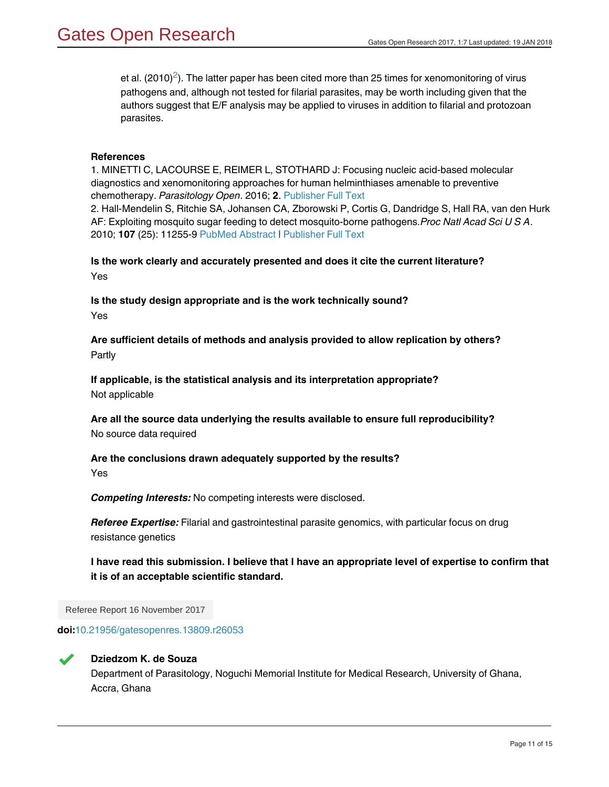et al. ([2](#page-10-1)010)<sup>2</sup>). The latter paper has been cited more than 25 times for xenomonitoring of virus pathogens and, although not tested for filarial parasites, may be worth including given that the authors suggest that E/F analysis may be applied to viruses in addition to filarial and protozoan parasites.

## **References**

<span id="page-10-1"></span><span id="page-10-0"></span>1. MINETTI C, LACOURSE E, REIMER L, STOTHARD J: Focusing nucleic acid-based molecular diagnostics and xenomonitoring approaches for human helminthiases amenable to preventive chemotherapy. *Parasitology Open*. 2016; **2**. [Publisher Full Text](http://dx.doi.org/10.1017/pao.2016.13) 2. Hall-Mendelin S, Ritchie SA, Johansen CA, Zborowski P, Cortis G, Dandridge S, Hall RA, van den Hurk AF: Exploiting mosquito sugar feeding to detect mosquito-borne pathogens.*Proc Natl Acad Sci U S A*. 2010; **107** (25): 11255-9 [PubMed Abstract](http://www.ncbi.nlm.nih.gov/pubmed/20534559) | [Publisher Full Text](http://dx.doi.org/10.1073/pnas.1002040107)

**Is the work clearly and accurately presented and does it cite the current literature?** Yes

**Is the study design appropriate and is the work technically sound?** Yes

**Are sufficient details of methods and analysis provided to allow replication by others?** Partly

**If applicable, is the statistical analysis and its interpretation appropriate?** Not applicable

**Are all the source data underlying the results available to ensure full reproducibility?** No source data required

**Are the conclusions drawn adequately supported by the results?** Yes

*Competing Interests:* No competing interests were disclosed.

*Referee Expertise:* Filarial and gastrointestinal parasite genomics, with particular focus on drug resistance genetics

**I have read this submission. I believe that I have an appropriate level of expertise to confirm that it is of an acceptable scientific standard.**

Referee Report 16 November 2017

**doi:**[10.21956/gatesopenres.13809.r26053](http://dx.doi.org/10.21956/gatesopenres.13809.r26053)



## **Dziedzom K. de Souza**

Department of Parasitology, Noguchi Memorial Institute for Medical Research, University of Ghana, Accra, Ghana

 $\mathcal{L}_{\mathcal{P}}$  presents opportunities for assessing the presentations in populations in populations in populations in populations in populations in populations in populations in populations in populations in populations i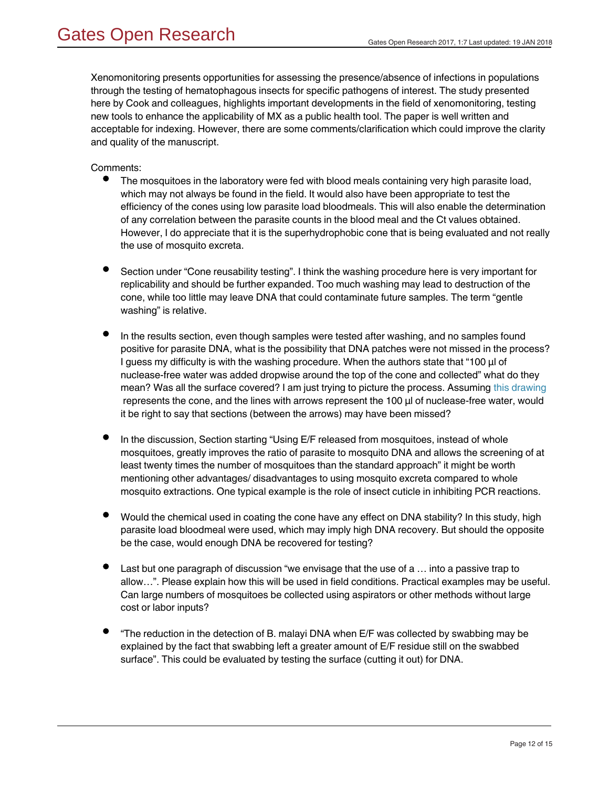Xenomonitoring presents opportunities for assessing the presence/absence of infections in populations through the testing of hematophagous insects for specific pathogens of interest. The study presented here by Cook and colleagues, highlights important developments in the field of xenomonitoring, testing new tools to enhance the applicability of MX as a public health tool. The paper is well written and acceptable for indexing. However, there are some comments/clarification which could improve the clarity and quality of the manuscript.

## Comments:

- $\bullet$ The mosquitoes in the laboratory were fed with blood meals containing very high parasite load, which may not always be found in the field. It would also have been appropriate to test the efficiency of the cones using low parasite load bloodmeals. This will also enable the determination of any correlation between the parasite counts in the blood meal and the Ct values obtained. However, I do appreciate that it is the superhydrophobic cone that is being evaluated and not really the use of mosquito excreta.
- Section under "Cone reusability testing". I think the washing procedure here is very important for replicability and should be further expanded. Too much washing may lead to destruction of the cone, while too little may leave DNA that could contaminate future samples. The term "gentle washing" is relative.
- In the results section, even though samples were tested after washing, and no samples found positive for parasite DNA, what is the possibility that DNA patches were not missed in the process? I guess my difficulty is with the washing procedure. When the authors state that "100 μl of nuclease-free water was added dropwise around the top of the cone and collected" what do they mean? Was all the surface covered? I am just trying to picture the process. Assuming [this drawing](https://s3-eu-west-1.amazonaws.com/gatesopenresearch/linked/178594.Dziedzom_de_Souza_report_image.png) represents the cone, and the lines with arrows represent the 100 μl of nuclease-free water, would it be right to say that sections (between the arrows) may have been missed?
- In the discussion, Section starting "Using E/F released from mosquitoes, instead of whole mosquitoes, greatly improves the ratio of parasite to mosquito DNA and allows the screening of at least twenty times the number of mosquitoes than the standard approach" it might be worth mentioning other advantages/ disadvantages to using mosquito excreta compared to whole mosquito extractions. One typical example is the role of insect cuticle in inhibiting PCR reactions.
- Would the chemical used in coating the cone have any effect on DNA stability? In this study, high parasite load bloodmeal were used, which may imply high DNA recovery. But should the opposite be the case, would enough DNA be recovered for testing?
- Last but one paragraph of discussion "we envisage that the use of a … into a passive trap to allow…". Please explain how this will be used in field conditions. Practical examples may be useful. Can large numbers of mosquitoes be collected using aspirators or other methods without large cost or labor inputs?
- "The reduction in the detection of B. malayi DNA when E/F was collected by swabbing may be explained by the fact that swabbing left a greater amount of E/F residue still on the swabbed surface". This could be evaluated by testing the surface (cutting it out) for DNA.

Tables 1 and 4. If  $p$  and 4. If  $p$  and  $p$  and  $p$  on the concentration of DNA recovered by each  $\alpha$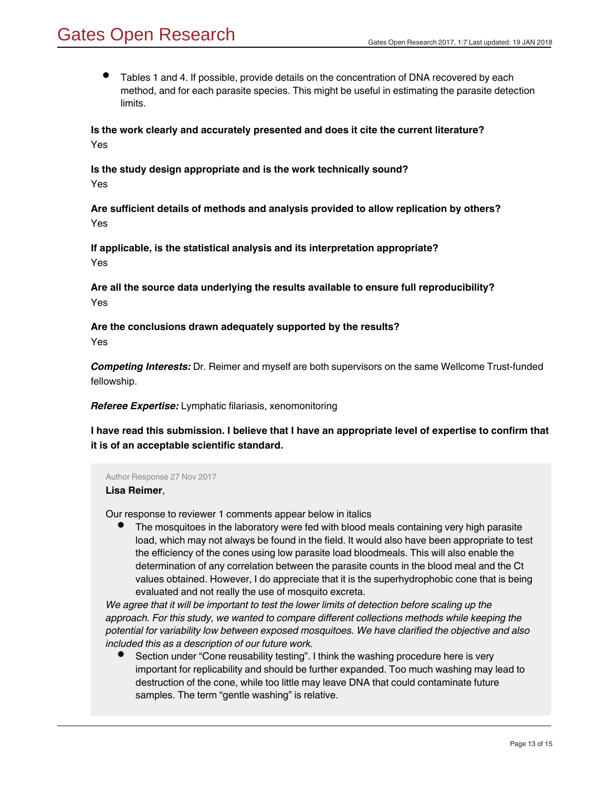Tables 1 and 4. If possible, provide details on the concentration of DNA recovered by each method, and for each parasite species. This might be useful in estimating the parasite detection limits.

**Is the work clearly and accurately presented and does it cite the current literature?** Yes

**Is the study design appropriate and is the work technically sound?** Yes

**Are sufficient details of methods and analysis provided to allow replication by others?** Yes

**If applicable, is the statistical analysis and its interpretation appropriate?** Yes

**Are all the source data underlying the results available to ensure full reproducibility?** Yes

**Are the conclusions drawn adequately supported by the results?**

Yes

*Competing Interests:* Dr. Reimer and myself are both supervisors on the same Wellcome Trust-funded fellowship.

*Referee Expertise:* Lymphatic filariasis, xenomonitoring

**I have read this submission. I believe that I have an appropriate level of expertise to confirm that it is of an acceptable scientific standard.**

Author Response 27 Nov 2017

## **Lisa Reimer**,

Our response to reviewer 1 comments appear below in italics

The mosquitoes in the laboratory were fed with blood meals containing very high parasite load, which may not always be found in the field. It would also have been appropriate to test the efficiency of the cones using low parasite load bloodmeals. This will also enable the determination of any correlation between the parasite counts in the blood meal and the Ct values obtained. However, I do appreciate that it is the superhydrophobic cone that is being evaluated and not really the use of mosquito excreta.

*We agree that it will be important to test the lower limits of detection before scaling up the approach. For this study, we wanted to compare different collections methods while keeping the potential for variability low between exposed mosquitoes. We have clarified the objective and also included this as a description of our future work.*

Section under "Cone reusability testing". I think the washing procedure here is very important for replicability and should be further expanded. Too much washing may lead to destruction of the cone, while too little may leave DNA that could contaminate future samples. The term "gentle washing" is relative.

*We have clarified this in the text to mean "non-abrasive washing". The coating is durable when*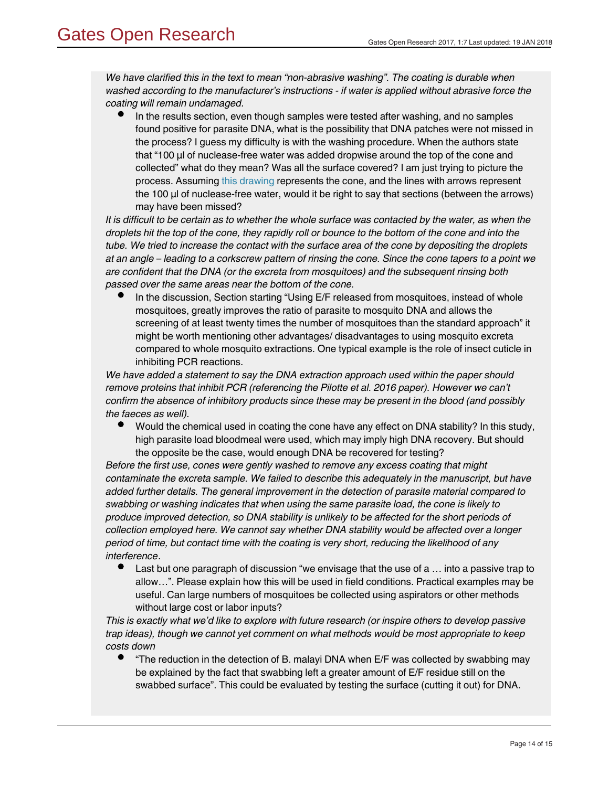*We have clarified this in the text to mean "non-abrasive washing". The coating is durable when washed according to the manufacturer's instructions - if water is applied without abrasive force the coating will remain undamaged.* 

In the results section, even though samples were tested after washing, and no samples found positive for parasite DNA, what is the possibility that DNA patches were not missed in the process? I guess my difficulty is with the washing procedure. When the authors state that "100 μl of nuclease-free water was added dropwise around the top of the cone and collected" what do they mean? Was all the surface covered? I am just trying to picture the process. Assuming [this drawing](https://s3-eu-west-1.amazonaws.com/gatesopenresearch/linked/178594.Dziedzom_de_Souza_report_image.png) represents the cone, and the lines with arrows represent the 100 μl of nuclease-free water, would it be right to say that sections (between the arrows) may have been missed?

*It is difficult to be certain as to whether the whole surface was contacted by the water, as when the droplets hit the top of the cone, they rapidly roll or bounce to the bottom of the cone and into the tube. We tried to increase the contact with the surface area of the cone by depositing the droplets at an angle – leading to a corkscrew pattern of rinsing the cone. Since the cone tapers to a point we are confident that the DNA (or the excreta from mosquitoes) and the subsequent rinsing both passed over the same areas near the bottom of the cone.*

In the discussion, Section starting "Using E/F released from mosquitoes, instead of whole mosquitoes, greatly improves the ratio of parasite to mosquito DNA and allows the screening of at least twenty times the number of mosquitoes than the standard approach" it might be worth mentioning other advantages/ disadvantages to using mosquito excreta compared to whole mosquito extractions. One typical example is the role of insect cuticle in inhibiting PCR reactions.

*We have added a statement to say the DNA extraction approach used within the paper should remove proteins that inhibit PCR (referencing the Pilotte et al. 2016 paper). However we can't confirm the absence of inhibitory products since these may be present in the blood (and possibly the faeces as well).*

Would the chemical used in coating the cone have any effect on DNA stability? In this study, high parasite load bloodmeal were used, which may imply high DNA recovery. But should the opposite be the case, would enough DNA be recovered for testing?

*Before the first use, cones were gently washed to remove any excess coating that might contaminate the excreta sample. We failed to describe this adequately in the manuscript, but have added further details. The general improvement in the detection of parasite material compared to swabbing or washing indicates that when using the same parasite load, the cone is likely to produce improved detection, so DNA stability is unlikely to be affected for the short periods of collection employed here. We cannot say whether DNA stability would be affected over a longer period of time, but contact time with the coating is very short, reducing the likelihood of any interference*.

Last but one paragraph of discussion "we envisage that the use of a … into a passive trap to allow…". Please explain how this will be used in field conditions. Practical examples may be useful. Can large numbers of mosquitoes be collected using aspirators or other methods without large cost or labor inputs?

*This is exactly what we'd like to explore with future research (or inspire others to develop passive trap ideas), though we cannot yet comment on what methods would be most appropriate to keep costs down*

*This is a qualitative observation rather than a quantitative result – the swab quickly became*

 $\bullet$ "The reduction in the detection of B. malayi DNA when E/F was collected by swabbing may be explained by the fact that swabbing left a greater amount of E/F residue still on the swabbed surface". This could be evaluated by testing the surface (cutting it out) for DNA.